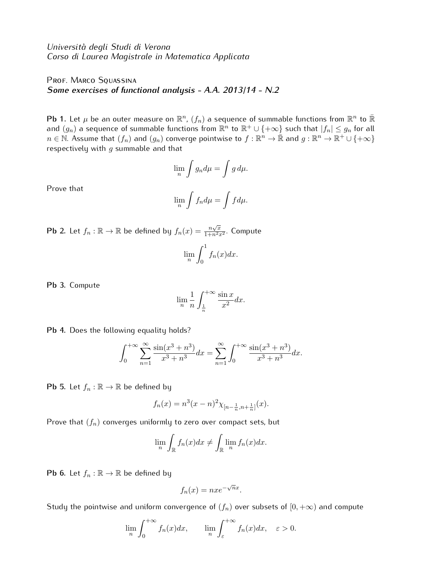*Universit`a degli Studi di Verona Corso di Laurea Magistrale in Matematica Applicata*

## PROF. MARCO SQUASSINA *Some exercises of functional analysis - A.A. 2013/14 - N.2*

**Pb 1.** Let  $\mu$  be an outer measure on  $\mathbb{R}^n$ ,  $(f_n)$  a sequence of summable functions from  $\mathbb{R}^n$  to  $\bar{\mathbb{R}}$ and  $(g_n)$  a sequence of summable functions from  $\mathbb{R}^n$  to  $\mathbb{R}^+\cup \{+\infty\}$  such that  $|f_n|\leq g_n$  for all  $n\in\mathbb{N}.$  Assume that  $(f_n)$  and  $(g_n)$  converge pointwise to  $f:\mathbb{R}^n\to\bar{\mathbb{R}}$  and  $g:\mathbb{R}^n\to\mathbb{R}^+\cup\{+\infty\}$ respectively with *g* summable and that

$$
\lim_{n} \int g_n d\mu = \int g d\mu.
$$

Prove that

$$
\lim_{n} \int f_n d\mu = \int f d\mu.
$$

**Pb 2.** Let  $f_n : \mathbb{R} \to \mathbb{R}$  be defined by  $f_n(x) = \frac{n\sqrt{x}}{1+n^2x^2}$ . Compute lim*n*  $\int_0^1$ 0 *fn*(*x*)*dx.*

**Pb 3.** Compute

$$
\lim_{n} \frac{1}{n} \int_{\frac{1}{n}}^{+\infty} \frac{\sin x}{x^2} dx.
$$

**Pb 4.** Does the following equality holds?

$$
\int_0^{+\infty} \sum_{n=1}^{\infty} \frac{\sin(x^3 + n^3)}{x^3 + n^3} dx = \sum_{n=1}^{\infty} \int_0^{+\infty} \frac{\sin(x^3 + n^3)}{x^3 + n^3} dx.
$$

**Pb 5.** Let  $f_n : \mathbb{R} \to \mathbb{R}$  be defined by

$$
f_n(x) = n^3(x - n)^2 \chi_{[n - \frac{1}{n}, n + \frac{1}{n}]}(x).
$$

Prove that (*fn*) converges uniformly to zero over compact sets, but

$$
\lim_{n} \int_{\mathbb{R}} f_n(x) dx \neq \int_{\mathbb{R}} \lim_{n} f_n(x) dx.
$$

**Pb 6.** Let  $f_n : \mathbb{R} \to \mathbb{R}$  be defined by

$$
f_n(x) = nxe^{-\sqrt{n}x}.
$$

Study the pointwise and uniform convergence of  $(f_n)$  over subsets of  $[0, +\infty)$  and compute

$$
\lim_{n} \int_{0}^{+\infty} f_n(x) dx, \qquad \lim_{n} \int_{\varepsilon}^{+\infty} f_n(x) dx, \quad \varepsilon > 0.
$$